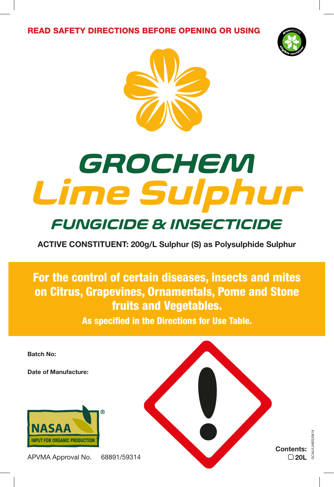READ SAFETY DIRECTIONS BEFORE OPENING OR USING





# *Lime Sulphur GROCHEM*

## *FUNGICIDE & INSECTICIDE*

**ACTIVE CONSTITUENT: 200g/L Sulphur (S) as Polysulphide Sulphur** 

For the control of certain diseases, insects and mites on Citrus, Grapevines, Ornamentals, Pome and Stone fruits and Vegetables.

As specified in the Directions for Use Table.